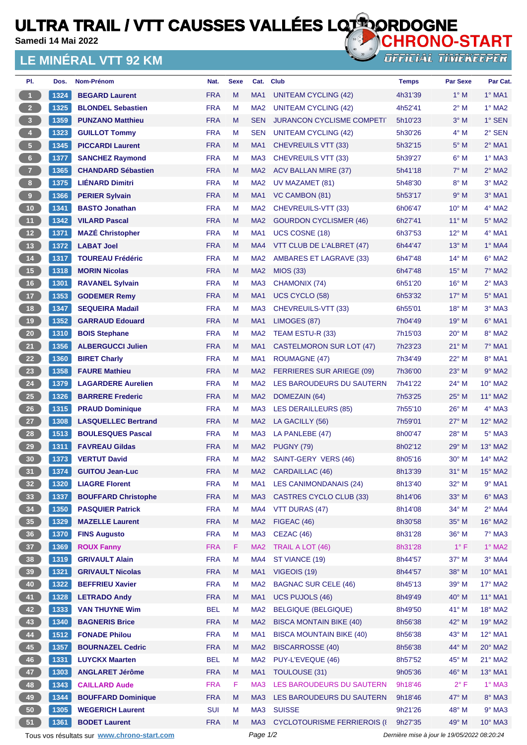## **ULTRA TRAIL / VTT CAUSSES VALLÉES LOTIORDOGNE**

**Samedi 14 Mai 2022**

## **LE MINÉRAL VTT 92 KM**



| PI.                  | Dos. | <b>Nom-Prénom</b>                           | Nat.       | <b>Sexe</b>                                 | Cat.            | <b>Club</b>                         | <b>Temps</b> | <b>Par Sexe</b> | Par Cat.         |
|----------------------|------|---------------------------------------------|------------|---------------------------------------------|-----------------|-------------------------------------|--------------|-----------------|------------------|
| $\blacktriangleleft$ | 1324 | <b>BEGARD Laurent</b>                       | <b>FRA</b> | M                                           | MA <sub>1</sub> | UNITEAM CYCLING (42)                | 4h31'39      | $1^\circ$ M     | $1^\circ$ MA1    |
| $2^{\circ}$          | 1325 | <b>BLONDEL Sebastien</b>                    | <b>FRA</b> | м                                           | MA <sub>2</sub> | <b>UNITEAM CYCLING (42)</b>         | 4h52'41      | $2^{\circ}$ M   | $1°$ MA2         |
| $3 -$                | 1359 | <b>PUNZANO Matthieu</b>                     | <b>FRA</b> | M                                           | <b>SEN</b>      | <b>JURANCON CYCLISME COMPETI</b>    | 5h10'23      | $3^\circ$ M     | 1° SEN           |
| $\overline{4}$       | 1323 | <b>GUILLOT Tommy</b>                        | <b>FRA</b> | M                                           | <b>SEN</b>      | UNITEAM CYCLING (42)                | 5h30'26      | $4^\circ$ M     | 2° SEN           |
| $5 -$                | 1345 | <b>PICCARDI Laurent</b>                     | <b>FRA</b> | M                                           | MA <sub>1</sub> | <b>CHEVREUILS VTT (33)</b>          | 5h32'15      | $5^\circ$ M     | $2°$ MA1         |
| 6 <sup>1</sup>       | 1377 | <b>SANCHEZ Raymond</b>                      | <b>FRA</b> | м                                           | MA <sub>3</sub> | <b>CHEVREUILS VTT (33)</b>          | 5h39'27      | $6^\circ$ M     | $1°$ MA3         |
| 7 <sup>2</sup>       | 1365 | <b>CHANDARD Sébastien</b>                   | <b>FRA</b> | M                                           | MA <sub>2</sub> | <b>ACV BALLAN MIRE (37)</b>         | 5h41'18      | $7^\circ$ M     | $2°$ MA2         |
| 8 <sub>1</sub>       | 1375 | <b>LIËNARD Dimitri</b>                      | <b>FRA</b> | M                                           | MA <sub>2</sub> | UV MAZAMET (81)                     | 5h48'30      | $8^\circ$ M     | 3° MA2           |
| $\overline{9}$       | 1366 | <b>PERIER Sylvain</b>                       | <b>FRA</b> | M                                           | MA <sub>1</sub> | VC CAMBON (81)                      | 5h53'17      | $9^{\circ}$ M   | $3°$ MA1         |
| 10 <sub>1</sub>      | 1341 | <b>BASTO Jonathan</b>                       | <b>FRA</b> | M                                           | MA <sub>2</sub> | CHEVREUILS-VTT (33)                 | 6h06'47      | $10^{\circ}$ M  | 4° MA2           |
| 11 <sub>1</sub>      | 1342 | <b>VILARD Pascal</b>                        | <b>FRA</b> | M                                           | MA <sub>2</sub> | <b>GOURDON CYCLISMER (46)</b>       | 6h27'41      | $11^{\circ}$ M  | 5° MA2           |
| 12                   | 1371 | <b>MAZÉ Christopher</b>                     | <b>FRA</b> | M                                           | MA <sub>1</sub> | UCS COSNE (18)                      | 6h37'53      | $12^{\circ}$ M  | 4° MA1           |
| 13                   | 1372 | <b>LABAT Joel</b>                           | <b>FRA</b> | M                                           | MA4             | VTT CLUB DE L'ALBRET (47)           | 6h44'47      | $13^{\circ}$ M  | $1°$ MA4         |
| 14                   | 1317 | <b>TOUREAU Frédéric</b>                     | <b>FRA</b> | M                                           | MA <sub>2</sub> | AMBARES ET LAGRAVE (33)             | 6h47'48      | $14^{\circ}$ M  | 6° MA2           |
| 15 <sub>1</sub>      | 1318 | <b>MORIN Nicolas</b>                        | <b>FRA</b> | M                                           | MA <sub>2</sub> | <b>MIOS (33)</b>                    | 6h47'48      | $15^{\circ}$ M  | 7° MA2           |
| 16                   | 1301 | <b>RAVANEL Sylvain</b>                      | <b>FRA</b> | M                                           | MA <sub>3</sub> | CHAMONIX (74)                       | 6h51'20      | $16^{\circ}$ M  | $2°$ MA3         |
| 17 <sup>2</sup>      | 1353 | <b>GODEMER Remy</b>                         | <b>FRA</b> | M                                           | MA <sub>1</sub> | UCS CYCLO (58)                      | 6h53'32      | $17^\circ$ M    | $5^\circ$ MA1    |
| 18                   | 1347 | <b>SEQUEIRA Madaïl</b>                      | <b>FRA</b> | M                                           | MA <sub>3</sub> | CHEVREUILS-VTT (33)                 | 6h55'01      | $18^{\circ}$ M  | $3°$ MA $3$      |
| 19                   | 1352 | <b>GARRAUD Edouard</b>                      | <b>FRA</b> | M                                           | MA <sub>1</sub> | LIMOGES (87)                        | 7h04'49      | $19^{\circ}$ M  | $6°$ MA1         |
| $20\,$               | 1310 | <b>BOIS Stephane</b>                        | <b>FRA</b> | M                                           | MA <sub>2</sub> | TEAM ESTU-R (33)                    | 7h15'03      | $20^\circ$ M    | 8° MA2           |
| 21                   | 1356 | <b>ALBERGUCCI Julien</b>                    | <b>FRA</b> | M                                           | MA <sub>1</sub> | <b>CASTELMORON SUR LOT (47)</b>     | 7h23'23      | $21^{\circ}$ M  | $7°$ MA1         |
| 22                   | 1360 | <b>BIRET Charly</b>                         | <b>FRA</b> | M                                           | MA <sub>1</sub> | ROUMAGNE (47)                       | 7h34'49      | 22° M           | 8° MA1           |
| 23                   | 1358 | <b>FAURE Mathieu</b>                        | <b>FRA</b> | M                                           | MA <sub>2</sub> | <b>FERRIERES SUR ARIEGE (09)</b>    | 7h36'00      | 23° M           | $9°$ MA2         |
| 24                   | 1379 | <b>LAGARDERE Aurelien</b>                   | <b>FRA</b> | M                                           | MA <sub>2</sub> | LES BAROUDEURS DU SAUTERN           | 7h41'22      | $24^{\circ}$ M  | $10^{\circ}$ MA2 |
| 25 <sub>2</sub>      | 1326 | <b>BARRERE Frederic</b>                     | <b>FRA</b> | M                                           | MA <sub>2</sub> | DOMEZAIN (64)                       | 7h53'25      | $25^{\circ}$ M  | $11^{\circ}$ MA2 |
| 26                   | 1315 | <b>PRAUD Dominique</b>                      | <b>FRA</b> | M                                           | MA <sub>3</sub> | <b>LES DERAILLEURS (85)</b>         | 7h55'10      | 26° M           | 4° MA3           |
| 27 <sup>°</sup>      | 1308 | <b>LASQUELLEC Bertrand</b>                  | <b>FRA</b> | M                                           | MA <sub>2</sub> | LA GACILLY (56)                     | 7h59'01      | $27^\circ$ M    | 12° MA2          |
| 28                   | 1513 | <b>BOULESQUES Pascal</b>                    | <b>FRA</b> | м                                           | MA <sub>3</sub> | LA PANLEBE (47)                     | 8h00'47      | 28° M           | $5^\circ$ MA3    |
| 29                   | 1311 | <b>FAVREAU Gildas</b>                       | <b>FRA</b> | M                                           | MA <sub>2</sub> | <b>PUGNY (79)</b>                   | 8h02'12      | 29° M           | $13^\circ$ MA2   |
| 30                   | 1373 | <b>VERTUT David</b>                         | <b>FRA</b> | M                                           | MA <sub>2</sub> | SAINT-GERY VERS (46)                | 8h05'16      | $30^\circ$ M    | 14° MA2          |
| 31                   | 1374 | <b>GUITOU Jean-Luc</b>                      | <b>FRA</b> | M                                           | MA <sub>2</sub> | <b>CARDAILLAC (46)</b>              | 8h13'39      | $31^\circ$ M    | 15° MA2          |
| 32 <sub>2</sub>      | 1320 | <b>LIAGRE Florent</b>                       | <b>FRA</b> | M                                           | MA1             | LES CANIMONDANAIS (24)              | 8h13'40      | $32^\circ$ M    | $9°$ MA1         |
| 33 <sup>°</sup>      | 1337 | <b>BOUFFARD Christophe</b>                  | <b>FRA</b> | M                                           | MA <sub>3</sub> | <b>CASTRES CYCLO CLUB (33)</b>      | 8h14'06      | $33^\circ$ M    | 6° MA3           |
| 34                   | 1350 | <b>PASQUIER Patrick</b>                     | <b>FRA</b> | M                                           | MA4             | <b>VTT DURAS (47)</b>               | 8h14'08      | 34° M           | $2°$ MA4         |
| 35 <sup>°</sup>      | 1329 | <b>MAZELLE Laurent</b>                      | <b>FRA</b> | M                                           | MA <sub>2</sub> | FIGEAC (46)                         | 8h30'58      | $35^\circ$ M    | 16° MA2          |
| 36 <sup>°</sup>      | 1370 | <b>FINS Augusto</b>                         | <b>FRA</b> | M                                           | MA <sub>3</sub> | CEZAC (46)                          | 8h31'28      | $36^\circ$ M    | $7°$ MA3         |
| 37 <sub>2</sub>      | 1369 | <b>ROUX Fanny</b>                           | <b>FRA</b> | F                                           | MA <sub>2</sub> | TRAIL A LOT (46)                    | 8h31'28      | $1^{\circ}$ F   | 1° MA2           |
| 38                   | 1319 | <b>GRIVAULT Alain</b>                       | <b>FRA</b> | M                                           | MA4             | ST VIANCE (19)                      | 8h44'57      | $37^\circ$ M    | $3°$ MA4         |
| 39                   | 1321 | <b>GRIVAULT Nicolas</b>                     | <b>FRA</b> | M                                           | MA <sub>1</sub> | VIGEOIS (19)                        | 8h44'57      | $38^\circ$ M    | $10^{\circ}$ MA1 |
| 40                   | 1322 | <b>BEFFRIEU Xavier</b>                      | <b>FRA</b> | M                                           | MA <sub>2</sub> | <b>BAGNAC SUR CELE (46)</b>         | 8h45'13      | $39^\circ$ M    | 17° MA2          |
| 41                   | 1328 | <b>LETRADO Andy</b>                         | <b>FRA</b> | M                                           | MA <sub>1</sub> | <b>UCS PUJOLS (46)</b>              | 8h49'49      | 40° M           | $11^{\circ}$ MA1 |
| 42                   | 1333 | <b>VAN THUYNE Wim</b>                       | <b>BEL</b> | M                                           | MA <sub>2</sub> | <b>BELGIQUE (BELGIQUE)</b>          | 8h49'50      | $41^{\circ}$ M  | 18° MA2          |
| 43                   | 1340 | <b>BAGNERIS Brice</b>                       | <b>FRA</b> | M                                           | MA <sub>2</sub> | <b>BISCA MONTAIN BIKE (40)</b>      | 8h56'38      | 42° M           | 19° MA2          |
| 44                   | 1512 | <b>FONADE Philou</b>                        | <b>FRA</b> | M                                           | MA1             | <b>BISCA MOUNTAIN BIKE (40)</b>     | 8h56'38      | 43° M           | 12° MA1          |
| 45                   | 1357 | <b>BOURNAZEL Cedric</b>                     | <b>FRA</b> | M                                           | MA <sub>2</sub> | <b>BISCARROSSE (40)</b>             | 8h56'38      | 44° M           | 20° MA2          |
| 46                   | 1331 | <b>LUYCKX Maarten</b>                       | <b>BEL</b> | M                                           | MA <sub>2</sub> | PUY-L'EVEQUE (46)                   | 8h57'52      | 45° M           | $21^{\circ}$ MA2 |
| 47                   | 1303 | <b>ANGLARET Jérôme</b>                      | <b>FRA</b> | M                                           | MA <sub>1</sub> | TOULOUSE (31)                       | 9h05'36      | 46° M           | $13^{\circ}$ MA1 |
| 48                   | 1343 | <b>CAILLARD Aude</b>                        | <b>FRA</b> | F                                           | MA <sub>3</sub> | LES BAROUDEURS DU SAUTERN           | 9h18'46      | $2^{\circ}$ F   | 1° MA3           |
| 49                   | 1344 | <b>BOUFFARD Dominique</b>                   | <b>FRA</b> | M                                           | MA <sub>3</sub> | LES BAROUDEURS DU SAUTERN           | 9h18'46      | 47° M           | 8° MA3           |
| 50                   | 1305 | <b>WEGERICH Laurent</b>                     | <b>SUI</b> | M                                           | MA <sub>3</sub> | <b>SUISSE</b>                       | 9h21'26      | 48° M           | $9°$ MA3         |
| 51                   | 1361 | <b>BODET Laurent</b>                        | <b>FRA</b> | M                                           | MA <sub>3</sub> | <b>CYCLOTOURISME FERRIEROIS (8)</b> | 9h27'35      | 49° M           | 10° MA3          |
|                      |      | Tous vos résultats sur www.chrono-start.com | Page 1/2   | Dernière mise à jour le 19/05/2022 08:20:24 |                 |                                     |              |                 |                  |